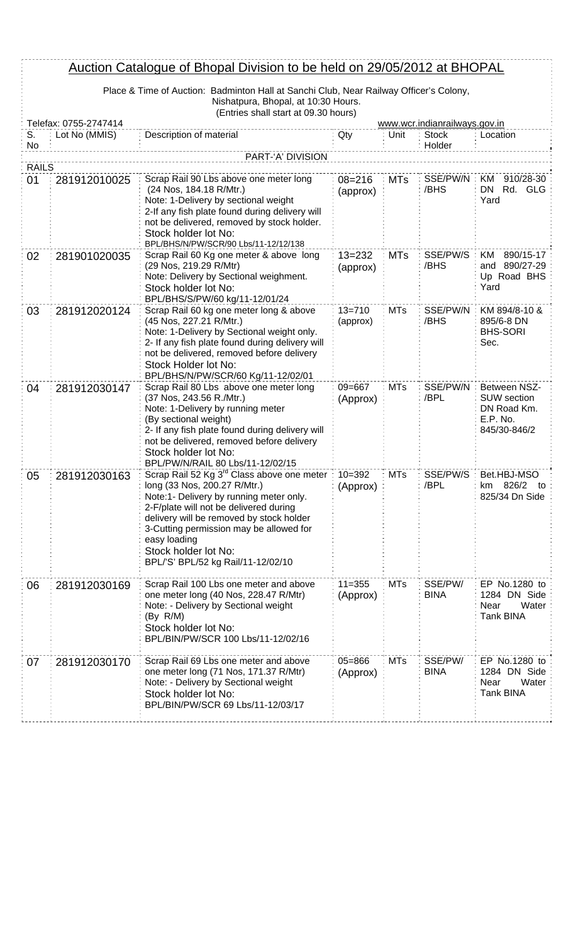| Auction Catalogue of Bhopal Division to be held on 29/05/2012 at BHOPAL |                                                                                        |                                                                                                                                                                                                                                                                                                                                                           |                        |            |                        |                                                                               |
|-------------------------------------------------------------------------|----------------------------------------------------------------------------------------|-----------------------------------------------------------------------------------------------------------------------------------------------------------------------------------------------------------------------------------------------------------------------------------------------------------------------------------------------------------|------------------------|------------|------------------------|-------------------------------------------------------------------------------|
|                                                                         | Place & Time of Auction: Badminton Hall at Sanchi Club, Near Railway Officer's Colony, |                                                                                                                                                                                                                                                                                                                                                           |                        |            |                        |                                                                               |
|                                                                         |                                                                                        | Nishatpura, Bhopal, at 10:30 Hours.<br>(Entries shall start at 09.30 hours)                                                                                                                                                                                                                                                                               |                        |            |                        |                                                                               |
|                                                                         | Telefax: 0755-2747414<br>www.wcr.indianrailways.gov.in                                 |                                                                                                                                                                                                                                                                                                                                                           |                        |            |                        |                                                                               |
| S.<br><b>No</b>                                                         | Lot No (MMIS)                                                                          | Description of material                                                                                                                                                                                                                                                                                                                                   | Qty                    | Unit       | <b>Stock</b><br>Holder | Location                                                                      |
|                                                                         |                                                                                        | PART-'A' DIVISION                                                                                                                                                                                                                                                                                                                                         |                        |            |                        |                                                                               |
| <b>RAILS</b>                                                            |                                                                                        |                                                                                                                                                                                                                                                                                                                                                           |                        |            |                        |                                                                               |
| 01                                                                      | 281912010025                                                                           | Scrap Rail 90 Lbs above one meter long<br>(24 Nos, 184.18 R/Mtr.)<br>Note: 1-Delivery by sectional weight<br>2-If any fish plate found during delivery will<br>not be delivered, removed by stock holder.<br>Stock holder lot No:<br>BPL/BHS/N/PW/SCR/90 Lbs/11-12/12/138                                                                                 | $08 = 216$<br>(approx) | <b>MTs</b> | SSE/PW/N<br>/BHS       | KM 910/28-30<br>DN Rd. GLG<br>Yard                                            |
| 02                                                                      | 281901020035                                                                           | Scrap Rail 60 Kg one meter & above long<br>(29 Nos, 219.29 R/Mtr)<br>Note: Delivery by Sectional weighment.<br>Stock holder lot No:<br>BPL/BHS/S/PW/60 kg/11-12/01/24                                                                                                                                                                                     | $13 = 232$<br>(approx) | <b>MTs</b> | SSE/PW/S<br>/BHS       | KM<br>890/15-17<br>and 890/27-29<br>Up Road BHS<br>Yard                       |
| 03                                                                      | 281912020124                                                                           | Scrap Rail 60 kg one meter long & above<br>(45 Nos, 227.21 R/Mtr.)<br>Note: 1-Delivery by Sectional weight only.<br>2- If any fish plate found during delivery will<br>not be delivered, removed before delivery<br>Stock Holder lot No:<br>BPL/BHS/N/PW/SCR/60 Kg/11-12/02/01                                                                            | $13 = 710$<br>(approx) | <b>MTs</b> | SSE/PW/N<br>/BHS       | KM 894/8-10 &<br>895/6-8 DN<br><b>BHS-SORI</b><br>Sec.                        |
| 04                                                                      | 281912030147                                                                           | Scrap Rail 80 Lbs above one meter long<br>(37 Nos, 243.56 R./Mtr.)<br>Note: 1-Delivery by running meter<br>(By sectional weight)<br>2- If any fish plate found during delivery will<br>not be delivered, removed before delivery<br>Stock holder lot No:<br>BPL/PW/N/RAIL 80 Lbs/11-12/02/15                                                              | $09 = 667$<br>(Approx) | <b>MTs</b> | SSE/PW/N<br>/BPL       | Between NSZ-<br><b>SUW</b> section<br>DN Road Km.<br>E.P. No.<br>845/30-846/2 |
| 05                                                                      | 281912030163                                                                           | Scrap Rail 52 Kg 3 <sup>rd</sup> Class above one meter : 10=392<br>long (33 Nos, 200.27 R/Mtr.)<br>Note:1- Delivery by running meter only.<br>2-F/plate will not be delivered during<br>delivery will be removed by stock holder<br>3-Cutting permission may be allowed for<br>easy loading<br>Stock holder lot No:<br>BPL/'S' BPL/52 kg Rail/11-12/02/10 | (Approx)               | <b>MTs</b> | SSE/PW/S:<br>/BPL      | Bet.HBJ-MSO<br>826/2<br>km<br>to<br>825/34 Dn Side                            |
| 06                                                                      | 281912030169                                                                           | Scrap Rail 100 Lbs one meter and above<br>one meter long (40 Nos, 228.47 R/Mtr)<br>Note: - Delivery by Sectional weight<br>(By R/M)<br>Stock holder lot No:<br>BPL/BIN/PW/SCR 100 Lbs/11-12/02/16                                                                                                                                                         | $11 = 355$<br>(Approx) | <b>MTs</b> | SSE/PW/<br><b>BINA</b> | EP No.1280 to<br>1284 DN Side<br>Water<br>Near<br><b>Tank BINA</b>            |
| 07                                                                      | 281912030170                                                                           | Scrap Rail 69 Lbs one meter and above<br>one meter long (71 Nos, 171.37 R/Mtr)<br>Note: - Delivery by Sectional weight<br>Stock holder lot No:<br>BPL/BIN/PW/SCR 69 Lbs/11-12/03/17                                                                                                                                                                       | $05 = 866$<br>(Approx) | <b>MTs</b> | SSE/PW/<br><b>BINA</b> | EP No.1280 to<br>1284 DN Side<br>Water<br>Near<br><b>Tank BINA</b>            |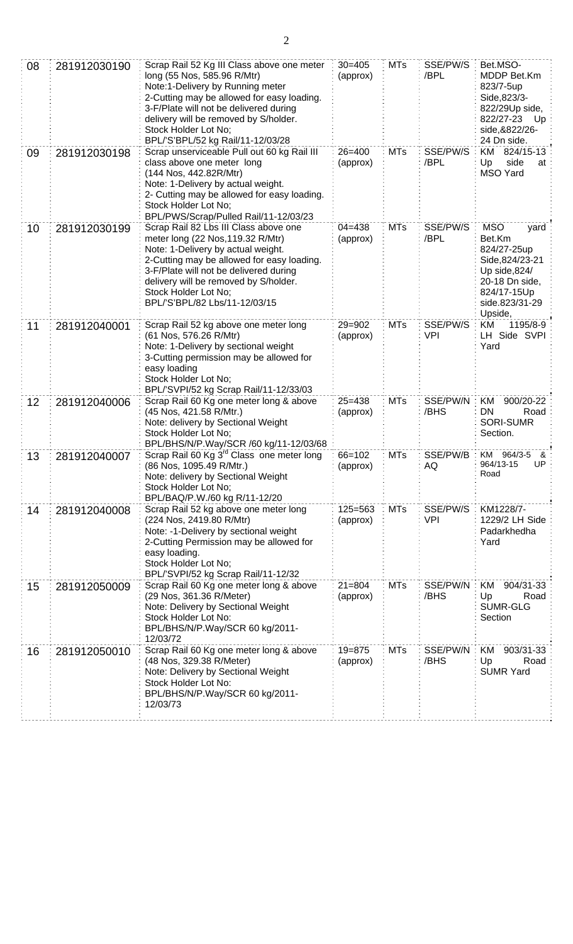| 08              | 281912030190 | Scrap Rail 52 Kg III Class above one meter<br>long (55 Nos, 585.96 R/Mtr)<br>Note:1-Delivery by Running meter<br>2-Cutting may be allowed for easy loading.<br>3-F/Plate will not be delivered during<br>delivery will be removed by S/holder.<br>Stock Holder Lot No;<br>BPL/'S'BPL/52 kg Rail/11-12/03/28 | $30 = 405$<br>(approx) | <b>MTs</b> | SSE/PW/S<br>/BPL       | Bet.MSO-<br>MDDP Bet.Km<br>823/7-5up<br>Side, 823/3-<br>822/29Up side,<br>822/27-23<br>– Up<br>side, & 822/26-<br>24 Dn side.                |
|-----------------|--------------|-------------------------------------------------------------------------------------------------------------------------------------------------------------------------------------------------------------------------------------------------------------------------------------------------------------|------------------------|------------|------------------------|----------------------------------------------------------------------------------------------------------------------------------------------|
| 09              | 281912030198 | Scrap unserviceable Pull out 60 kg Rail III<br>class above one meter long<br>(144 Nos, 442.82R/Mtr)<br>Note: 1-Delivery by actual weight.<br>2- Cutting may be allowed for easy loading.<br>Stock Holder Lot No;<br>BPL/PWS/Scrap/Pulled Rail/11-12/03/23                                                   | $26 = 400$<br>(approx) | <b>MTs</b> | SSE/PW/S<br>/BPL       | KM 824/15-13<br>side<br>Up<br>at<br><b>MSO Yard</b>                                                                                          |
| 10              | 281912030199 | Scrap Rail 82 Lbs III Class above one<br>meter long (22 Nos, 119.32 R/Mtr)<br>Note: 1-Delivery by actual weight.<br>2-Cutting may be allowed for easy loading.<br>3-F/Plate will not be delivered during<br>delivery will be removed by S/holder.<br>Stock Holder Lot No;<br>BPL/'S'BPL/82 Lbs/11-12/03/15  | $04 = 438$<br>(approx) | <b>MTs</b> | SSE/PW/S<br>/BPL       | <b>MSO</b><br>yard<br>Bet.Km<br>824/27-25up<br>Side, 824/23-21<br>Up side,824/<br>20-18 Dn side,<br>824/17-15Up<br>side.823/31-29<br>Upside, |
| 11              | 281912040001 | Scrap Rail 52 kg above one meter long<br>(61 Nos, 576.26 R/Mtr)<br>Note: 1-Delivery by sectional weight<br>3-Cutting permission may be allowed for<br>easy loading<br>Stock Holder Lot No;<br>BPL/'SVPI/52 kg Scrap Rail/11-12/33/03                                                                        | $29 = 902$<br>(approx) | <b>MTs</b> | SSE/PW/S<br><b>VPI</b> | KM<br>1195/8-9<br>LH Side SVPI :<br>Yard                                                                                                     |
| 12 <sub>2</sub> | 281912040006 | Scrap Rail 60 Kg one meter long & above<br>(45 Nos, 421.58 R/Mtr.)<br>Note: delivery by Sectional Weight<br>Stock Holder Lot No;<br>BPL/BHS/N/P.Way/SCR /60 kg/11-12/03/68                                                                                                                                  | $25 = 438$<br>(approx) | <b>MTs</b> | SSE/PW/N<br>/BHS       | 900/20-22<br>KM.<br>Road<br>DN<br><b>SORI-SUMR</b><br>Section.                                                                               |
| 13              | 281912040007 | Scrap Rail 60 Kg 3 <sup>rd</sup> Class one meter long<br>(86 Nos, 1095.49 R/Mtr.)<br>Note: delivery by Sectional Weight<br>Stock Holder Lot No;<br>BPL/BAQ/P.W./60 kg R/11-12/20                                                                                                                            | $66 = 102$<br>(approx) | <b>MTs</b> | SSE/PW/B<br>AQ         | KM 964/3-5<br>&<br>964/13-15<br>UP.<br>Road                                                                                                  |
| 14              | 281912040008 | Scrap Rail 52 kg above one meter long<br>(224 Nos, 2419.80 R/Mtr)<br>Note: -1-Delivery by sectional weight<br>2-Cutting Permission may be allowed for<br>easy loading.<br>Stock Holder Lot No;<br>BPL/'SVPI/52 kg Scrap Rail/11-12/32                                                                       | 125=563<br>(approx)    | <b>MTs</b> | SSE/PW/S<br><b>VPI</b> | KM1228/7-<br>1229/2 LH Side<br>Padarkhedha<br>Yard                                                                                           |
| 15              | 281912050009 | Scrap Rail 60 Kg one meter long & above<br>(29 Nos, 361.36 R/Meter)<br>Note: Delivery by Sectional Weight<br>Stock Holder Lot No:<br>BPL/BHS/N/P.Way/SCR 60 kg/2011-<br>12/03/72                                                                                                                            | $21 = 804$<br>(approx) | <b>MTs</b> | SSE/PW/N<br>/BHS       | 904/31-33<br>ΚM<br>Up<br>Road<br><b>SUMR-GLG</b><br>Section                                                                                  |
| 16              | 281912050010 | Scrap Rail 60 Kg one meter long & above<br>(48 Nos, 329.38 R/Meter)<br>Note: Delivery by Sectional Weight<br>Stock Holder Lot No:<br>BPL/BHS/N/P.Way/SCR 60 kg/2011-<br>12/03/73                                                                                                                            | $19 = 875$<br>(approx) | <b>MTs</b> | SSE/PW/N<br>/BHS       | 903/31-33<br>KM<br>Up<br>Road<br><b>SUMR Yard</b>                                                                                            |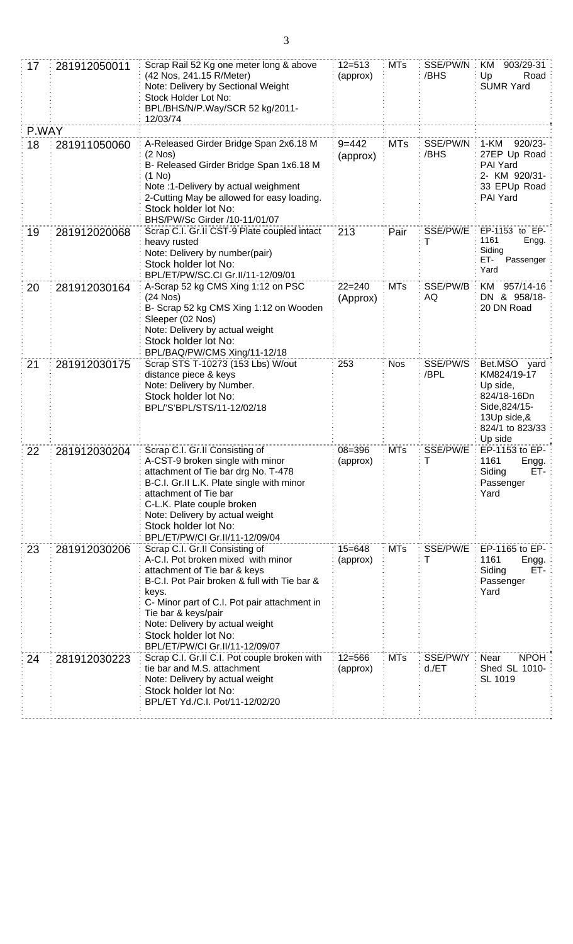| 17    | 281912050011 | Scrap Rail 52 Kg one meter long & above<br>(42 Nos, 241.15 R/Meter)<br>Note: Delivery by Sectional Weight<br>Stock Holder Lot No:<br>BPL/BHS/N/P.Way/SCR 52 kg/2011-<br>12/03/74                                                                                                                                                  | $12 = 513$<br>(approx) | <b>MTs</b> | SSE/PW/N<br>/BHS     | 903/29-31<br>KM<br>Up<br>Road<br><b>SUMR Yard</b>                                                                    |
|-------|--------------|-----------------------------------------------------------------------------------------------------------------------------------------------------------------------------------------------------------------------------------------------------------------------------------------------------------------------------------|------------------------|------------|----------------------|----------------------------------------------------------------------------------------------------------------------|
| P.WAY |              |                                                                                                                                                                                                                                                                                                                                   |                        |            |                      |                                                                                                                      |
| 18    | 281911050060 | A-Released Girder Bridge Span 2x6.18 M<br>$(2$ Nos)<br>B- Released Girder Bridge Span 1x6.18 M<br>(1 No)<br>Note :1-Delivery by actual weighment<br>2-Cutting May be allowed for easy loading.<br>Stock holder lot No:<br>BHS/PW/Sc Girder /10-11/01/07                                                                           | $9 = 442$<br>(approx)  | <b>MTs</b> | SSE/PW/N<br>/BHS     | 1-KM<br>920/23-<br>27EP Up Road<br><b>PAI Yard</b><br>2- KM 920/31-<br>33 EPUp Road<br>PAI Yard                      |
| 19    | 281912020068 | Scrap C.I. Gr.II CST-9 Plate coupled intact<br>heavy rusted<br>Note: Delivery by number(pair)<br>Stock holder lot No:<br>BPL/ET/PW/SC.CI Gr.II/11-12/09/01                                                                                                                                                                        | 213                    | Pair       | SSE/PW/E<br>т        | EP-1153 to EP-<br>1161<br>Engg.<br>Siding<br>ET-<br>Passenger<br>Yard                                                |
| 20    | 281912030164 | A-Scrap 52 kg CMS Xing 1:12 on PSC<br>(24 Nos)<br>B- Scrap 52 kg CMS Xing 1:12 on Wooden<br>Sleeper (02 Nos)<br>Note: Delivery by actual weight<br>Stock holder lot No:<br>BPL/BAQ/PW/CMS Xing/11-12/18                                                                                                                           | $22 = 240$<br>(Approx) | <b>MTs</b> | SSE/PW/B<br>AQ       | 957/14-16<br>KM.<br>DN & 958/18-<br>20 DN Road                                                                       |
| 21    | 281912030175 | Scrap STS T-10273 (153 Lbs) W/out<br>distance piece & keys<br>Note: Delivery by Number.<br>Stock holder lot No:<br>BPL/'S'BPL/STS/11-12/02/18                                                                                                                                                                                     | 253                    | <b>Nos</b> | SSE/PW/S<br>/BPL     | Bet.MSO yard<br>KM824/19-17<br>Up side,<br>824/18-16Dn<br>Side, 824/15-<br>13Up side,&<br>824/1 to 823/33<br>Up side |
| 22    | 281912030204 | Scrap C.I. Gr.II Consisting of<br>A-CST-9 broken single with minor<br>attachment of Tie bar drg No. T-478<br>B-C.I. Gr.II L.K. Plate single with minor<br>attachment of Tie bar<br>C-L.K. Plate couple broken<br>Note: Delivery by actual weight<br>Stock holder lot No:<br>BPL/ET/PW/CI Gr.II/11-12/09/04                        | $08 = 396$<br>(approx) | <b>MTs</b> | SSE/PW/E<br>Τ        | EP-1153 to EP-<br>1161<br>Engg.<br>Siding<br>ET-<br>Passenger<br>Yard                                                |
| 23    | 281912030206 | Scrap C.I. Gr.II Consisting of<br>A-C.I. Pot broken mixed with minor<br>attachment of Tie bar & keys<br>B-C.I. Pot Pair broken & full with Tie bar &<br>keys.<br>C- Minor part of C.I. Pot pair attachment in<br>Tie bar & keys/pair<br>Note: Delivery by actual weight<br>Stock holder lot No:<br>BPL/ET/PW/CI Gr.II/11-12/09/07 | $15 = 648$<br>(approx) | <b>MTs</b> | SSE/PW/E<br>т        | EP-1165 to EP-<br>1161<br>Engg.<br>Siding<br>ET-<br>Passenger<br>Yard                                                |
| 24    | 281912030223 | Scrap C.I. Gr.II C.I. Pot couple broken with<br>tie bar and M.S. attachment<br>Note: Delivery by actual weight<br>Stock holder lot No:<br>BPL/ET Yd./C.I. Pot/11-12/02/20                                                                                                                                                         | $12 = 566$<br>(approx) | <b>MTs</b> | SSE/PW/Y<br>$d$ ./ET | <b>NPOH</b><br>Near<br>Shed SL 1010-<br>SL 1019                                                                      |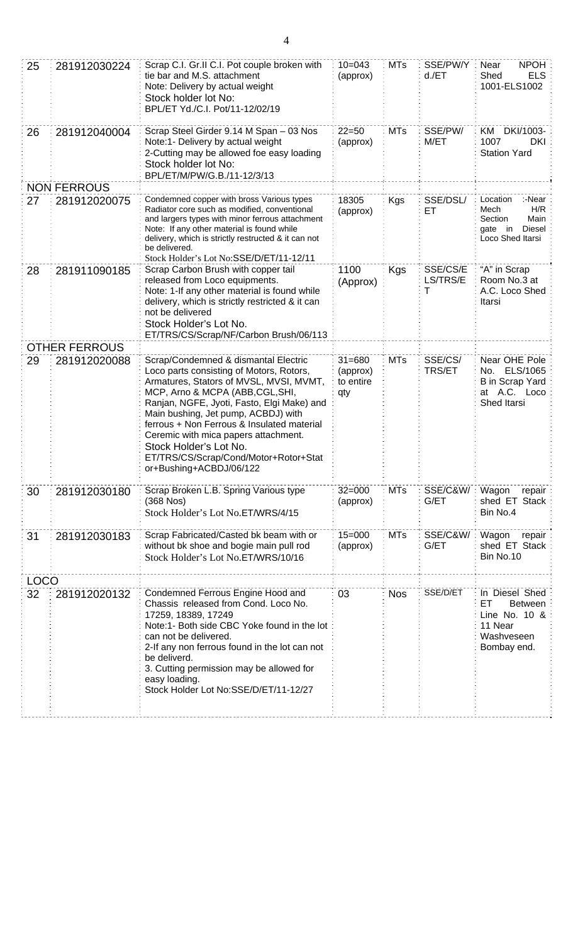| 25          | 281912030224         | Scrap C.I. Gr.II C.I. Pot couple broken with<br>tie bar and M.S. attachment<br>Note: Delivery by actual weight<br>Stock holder lot No:<br>BPL/ET Yd./C.I. Pot/11-12/02/19                                                                                                                                                                                                                                                                | $10 = 043$<br>(approx)                     | <b>MTs</b> | SSE/PW/Y:<br>$d$ ./ET     | <b>NPOH</b><br>Near<br>Shed<br><b>ELS</b><br>1001-ELS1002                                       |
|-------------|----------------------|------------------------------------------------------------------------------------------------------------------------------------------------------------------------------------------------------------------------------------------------------------------------------------------------------------------------------------------------------------------------------------------------------------------------------------------|--------------------------------------------|------------|---------------------------|-------------------------------------------------------------------------------------------------|
| 26          | 281912040004         | Scrap Steel Girder 9.14 M Span - 03 Nos<br>Note:1- Delivery by actual weight<br>2-Cutting may be allowed foe easy loading<br>Stock holder lot No:<br>BPL/ET/M/PW/G.B./11-12/3/13                                                                                                                                                                                                                                                         | $22 = 50$<br>(approx)                      | <b>MTs</b> | SSE/PW/<br>M/ET           | KM DKI/1003-<br>1007<br>DKI:<br><b>Station Yard</b>                                             |
|             | <b>NON FERROUS</b>   |                                                                                                                                                                                                                                                                                                                                                                                                                                          |                                            |            |                           |                                                                                                 |
| 27          | 281912020075         | Condemned copper with bross Various types<br>Radiator core such as modified, conventional<br>and largers types with minor ferrous attachment<br>Note: If any other material is found while<br>delivery, which is strictly restructed & it can not<br>be delivered.<br>Stock Holder's Lot No:SSE/D/ET/11-12/11                                                                                                                            | 18305<br>(approx)                          | <b>Kgs</b> | SSE/DSL/<br>ET            | Location<br>:-Near<br>H/R<br>Mech<br>Main<br>Section<br>Diesel<br>gate in<br>Loco Shed Itarsi   |
| 28          | 281911090185         | Scrap Carbon Brush with copper tail<br>released from Loco equipments.<br>Note: 1-If any other material is found while<br>delivery, which is strictly restricted & it can<br>not be delivered<br>Stock Holder's Lot No.<br>ET/TRS/CS/Scrap/NF/Carbon Brush/06/113                                                                                                                                                                         | 1100<br>(Approx)                           | Kgs        | SSE/CS/E<br>LS/TRS/E<br>T | "A" in Scrap<br>Room No.3 at<br>A.C. Loco Shed<br>Itarsi                                        |
|             | <b>OTHER FERROUS</b> |                                                                                                                                                                                                                                                                                                                                                                                                                                          |                                            |            |                           |                                                                                                 |
| 29          | 281912020088         | Scrap/Condemned & dismantal Electric<br>Loco parts consisting of Motors, Rotors,<br>Armatures, Stators of MVSL, MVSI, MVMT,<br>MCP, Arno & MCPA (ABB, CGL, SHI,<br>Ranjan, NGFE, Jyoti, Fasto, Elgi Make) and<br>Main bushing, Jet pump, ACBDJ) with<br>ferrous + Non Ferrous & Insulated material<br>Ceremic with mica papers attachment.<br>Stock Holder's Lot No.<br>ET/TRS/CS/Scrap/Cond/Motor+Rotor+Stat<br>or+Bushing+ACBDJ/06/122 | $31 = 680$<br>(approx)<br>to entire<br>qty | <b>MTs</b> | SSE/CS/<br>TRS/ET         | Near OHE Pole<br>No. ELS/1065<br><b>B</b> in Scrap Yard<br>at A.C. Loco<br>Shed Itarsi          |
| 30          | 281912030180         | Scrap Broken L.B. Spring Various type<br>$(368$ Nos)<br>Stock Holder's Lot No.ET/WRS/4/15                                                                                                                                                                                                                                                                                                                                                | $32 = 000$<br>(approx)                     | <b>MTs</b> | SSE/C&W/:<br>G/ET         | Wagon<br>repair:<br>shed ET Stack<br>Bin No.4                                                   |
| 31          | 281912030183         | Scrap Fabricated/Casted bk beam with or<br>without bk shoe and bogie main pull rod<br>Stock Holder's Lot No.ET/WRS/10/16                                                                                                                                                                                                                                                                                                                 | $15 = 000$<br>(approx)                     | <b>MTs</b> | SSE/C&W/<br>G/ET          | Wagon<br>repair<br>shed ET Stack<br>Bin No.10                                                   |
| <b>LOCO</b> |                      |                                                                                                                                                                                                                                                                                                                                                                                                                                          |                                            |            |                           |                                                                                                 |
| 32          | 281912020132         | Condemned Ferrous Engine Hood and<br>Chassis released from Cond. Loco No.<br>17259, 18389, 17249<br>Note:1- Both side CBC Yoke found in the lot<br>can not be delivered.<br>2-If any non ferrous found in the lot can not<br>be deliverd.<br>3. Cutting permission may be allowed for<br>easy loading.<br>Stock Holder Lot No:SSE/D/ET/11-12/27                                                                                          | 03                                         | <b>Nos</b> | SSE/D/ET                  | In Diesel Shed<br>EТ<br><b>Between</b><br>Line No. 10 &<br>11 Near<br>Washveseen<br>Bombay end. |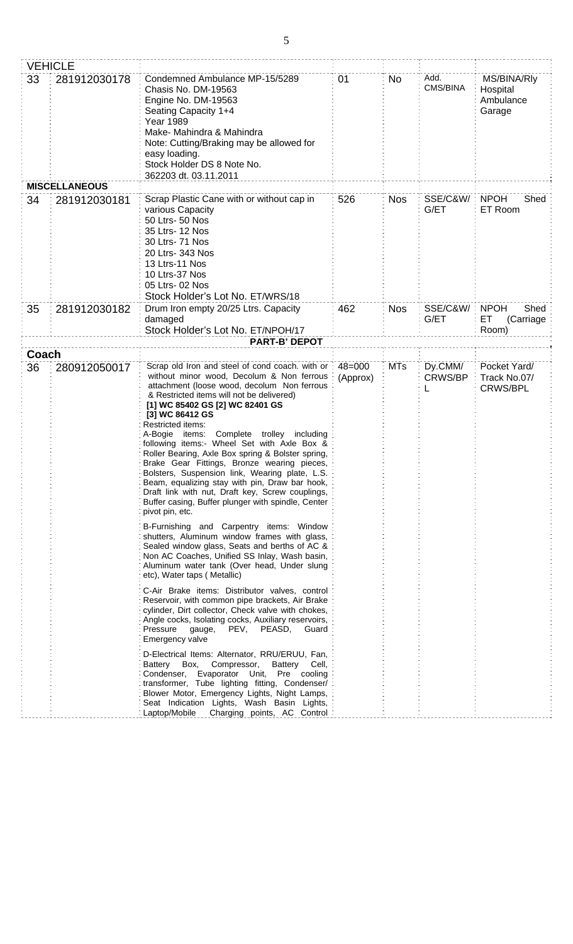|       | <b>VEHICLE</b>       |                                                                                                                                                                                                                                                                                                                                                                                                                                                                                                                                                                                                                                                   |            |            |                              |                                                |
|-------|----------------------|---------------------------------------------------------------------------------------------------------------------------------------------------------------------------------------------------------------------------------------------------------------------------------------------------------------------------------------------------------------------------------------------------------------------------------------------------------------------------------------------------------------------------------------------------------------------------------------------------------------------------------------------------|------------|------------|------------------------------|------------------------------------------------|
| 33    | 281912030178         | Condemned Ambulance MP-15/5289<br>Chasis No. DM-19563<br>Engine No. DM-19563<br>Seating Capacity 1+4<br><b>Year 1989</b><br>Make- Mahindra & Mahindra<br>Note: Cutting/Braking may be allowed for<br>easy loading.<br>Stock Holder DS 8 Note No.<br>362203 dt. 03.11.2011                                                                                                                                                                                                                                                                                                                                                                         |            | <b>No</b>  | Add.<br>CMS/BINA             | MS/BINA/Rly<br>Hospital<br>Ambulance<br>Garage |
|       | <b>MISCELLANEOUS</b> |                                                                                                                                                                                                                                                                                                                                                                                                                                                                                                                                                                                                                                                   |            |            |                              |                                                |
| 34    | 281912030181         | Scrap Plastic Cane with or without cap in<br>various Capacity<br>50 Ltrs- 50 Nos<br>35 Ltrs- 12 Nos<br>30 Ltrs- 71 Nos<br>20 Ltrs- 343 Nos<br>13 Ltrs-11 Nos<br>10 Ltrs-37 Nos<br>05 Ltrs- 02 Nos<br>Stock Holder's Lot No. ET/WRS/18                                                                                                                                                                                                                                                                                                                                                                                                             | 526        | <b>Nos</b> | <b>SSE/C&amp;W/:</b><br>G/ET | <b>NPOH</b><br>Shed<br>ET Room                 |
| 35    | 281912030182         | Drum Iron empty 20/25 Ltrs. Capacity                                                                                                                                                                                                                                                                                                                                                                                                                                                                                                                                                                                                              | 462        | <b>Nos</b> | SSE/C&W/                     | <b>NPOH</b><br>Shed                            |
|       | damaged              |                                                                                                                                                                                                                                                                                                                                                                                                                                                                                                                                                                                                                                                   |            |            | G/ET                         | ET<br>(Carriage                                |
|       |                      | Stock Holder's Lot No. ET/NPOH/17                                                                                                                                                                                                                                                                                                                                                                                                                                                                                                                                                                                                                 |            |            |                              | Room)                                          |
| Coach |                      | <b>PART-B' DEPOT</b>                                                                                                                                                                                                                                                                                                                                                                                                                                                                                                                                                                                                                              |            |            |                              |                                                |
| 36    | 280912050017         | Scrap old Iron and steel of cond coach. with or :                                                                                                                                                                                                                                                                                                                                                                                                                                                                                                                                                                                                 | $48 = 000$ | <b>MTs</b> | Dy.CMM/                      | Pocket Yard/                                   |
|       |                      | without minor wood, Decolum & Non ferrous<br>attachment (loose wood, decolum Non ferrous<br>& Restricted items will not be delivered)<br>[1] WC 85402 GS [2] WC 82401 GS<br>[3] WC 86412 GS<br>Restricted items:<br>A-Bogie items: Complete trolley including<br>following items:- Wheel Set with Axle Box &<br>Roller Bearing, Axle Box spring & Bolster spring,<br>Brake Gear Fittings, Bronze wearing pieces,<br>Bolsters, Suspension link, Wearing plate, L.S.<br>Beam, equalizing stay with pin, Draw bar hook,<br>Draft link with nut, Draft key, Screw couplings,<br>Buffer casing, Buffer plunger with spindle, Center<br>pivot pin, etc. | (Approx)   |            | <b>CRWS/BP</b>               | Track No.07/<br>CRWS/BPL                       |
|       |                      | B-Furnishing and Carpentry items: Window<br>shutters, Aluminum window frames with glass,<br>Sealed window glass, Seats and berths of AC &<br>Non AC Coaches, Unified SS Inlay, Wash basin,<br>Aluminum water tank (Over head, Under slung<br>etc), Water taps (Metallic)                                                                                                                                                                                                                                                                                                                                                                          |            |            |                              |                                                |
|       |                      | C-Air Brake items: Distributor valves, control<br>Reservoir, with common pipe brackets, Air Brake<br>cylinder, Dirt collector, Check valve with chokes,<br>Angle cocks, Isolating cocks, Auxiliary reservoirs,<br>PEV,<br>PEASD,<br>Pressure<br>gauge,<br>Guard<br>Emergency valve                                                                                                                                                                                                                                                                                                                                                                |            |            |                              |                                                |
|       |                      | D-Electrical Items: Alternator, RRU/ERUU, Fan,<br>Battery Box,<br>Compressor,<br>Battery Cell,<br>Condenser, Evaporator Unit, Pre cooling<br>transformer, Tube lighting fitting, Condenser/<br>Blower Motor, Emergency Lights, Night Lamps,<br>Seat Indication Lights, Wash Basin Lights,<br>Charging points, AC Control<br>Laptop/Mobile                                                                                                                                                                                                                                                                                                         |            |            |                              |                                                |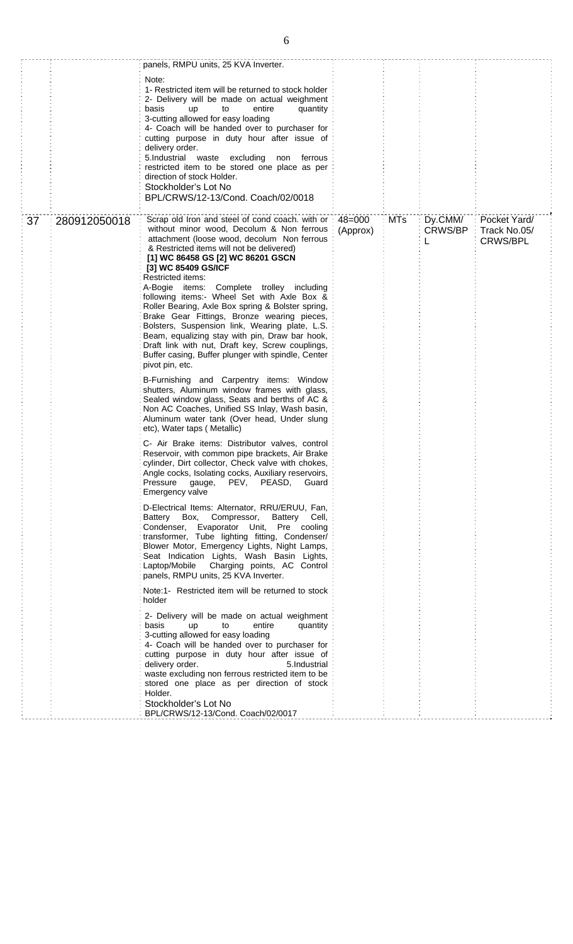|    |              | panels, RMPU units, 25 KVA Inverter.<br>Note:<br>1- Restricted item will be returned to stock holder<br>2- Delivery will be made on actual weighment<br>basis<br><b>up</b><br>to<br>entire<br>quantity<br>3-cutting allowed for easy loading<br>4- Coach will be handed over to purchaser for<br>cutting purpose in duty hour after issue of<br>delivery order.<br>5.Industrial waste excluding<br>non ferrous<br>restricted item to be stored one place as per<br>direction of stock Holder.<br>Stockholder's Lot No<br>BPL/CRWS/12-13/Cond. Coach/02/0018                                                                                                                                                                                                                                                                                                                                                                                                                                                                                        |          |     |                           |                                                 |
|----|--------------|----------------------------------------------------------------------------------------------------------------------------------------------------------------------------------------------------------------------------------------------------------------------------------------------------------------------------------------------------------------------------------------------------------------------------------------------------------------------------------------------------------------------------------------------------------------------------------------------------------------------------------------------------------------------------------------------------------------------------------------------------------------------------------------------------------------------------------------------------------------------------------------------------------------------------------------------------------------------------------------------------------------------------------------------------|----------|-----|---------------------------|-------------------------------------------------|
| 37 | 280912050018 | Scrap old Iron and steel of cond coach. with or : 48=000<br>without minor wood, Decolum & Non ferrous<br>attachment (loose wood, decolum Non ferrous<br>& Restricted items will not be delivered)<br>[1] WC 86458 GS [2] WC 86201 GSCN<br>[3] WC 85409 GS/ICF<br>Restricted items:<br>A-Bogie items: Complete trolley including<br>following items:- Wheel Set with Axle Box &<br>Roller Bearing, Axle Box spring & Bolster spring,<br>Brake Gear Fittings, Bronze wearing pieces,<br>Bolsters, Suspension link, Wearing plate, L.S.<br>Beam, equalizing stay with pin, Draw bar hook,<br>Draft link with nut, Draft key, Screw couplings,<br>Buffer casing, Buffer plunger with spindle, Center<br>pivot pin, etc.<br>B-Furnishing and Carpentry items: Window<br>shutters, Aluminum window frames with glass,<br>Sealed window glass, Seats and berths of AC &<br>Non AC Coaches, Unified SS Inlay, Wash basin,<br>Aluminum water tank (Over head, Under slung<br>etc), Water taps (Metallic)<br>C- Air Brake items: Distributor valves, control | (Approx) | MTs | Dy.CMM/<br><b>CRWS/BP</b> | Pocket Yard/<br>Track No.05/<br><b>CRWS/BPL</b> |
|    |              | Reservoir, with common pipe brackets, Air Brake<br>cylinder, Dirt collector, Check valve with chokes,<br>Angle cocks, Isolating cocks, Auxiliary reservoirs,<br>PEASD,<br>Pressure<br>PEV,<br>Guard<br>gauge,<br>Emergency valve                                                                                                                                                                                                                                                                                                                                                                                                                                                                                                                                                                                                                                                                                                                                                                                                                   |          |     |                           |                                                 |
|    |              | D-Electrical Items: Alternator, RRU/ERUU, Fan,<br>Battery Box, Compressor,<br>Battery Cell,<br>Condenser, Evaporator Unit, Pre cooling<br>transformer, Tube lighting fitting, Condenser/<br>Blower Motor, Emergency Lights, Night Lamps,<br>Seat Indication Lights, Wash Basin Lights,<br>Laptop/Mobile<br>Charging points, AC Control<br>panels, RMPU units, 25 KVA Inverter.                                                                                                                                                                                                                                                                                                                                                                                                                                                                                                                                                                                                                                                                     |          |     |                           |                                                 |
|    |              | Note:1- Restricted item will be returned to stock<br>holder                                                                                                                                                                                                                                                                                                                                                                                                                                                                                                                                                                                                                                                                                                                                                                                                                                                                                                                                                                                        |          |     |                           |                                                 |
|    |              | 2- Delivery will be made on actual weighment<br>basis<br>entire<br>quantity<br>up<br>to<br>3-cutting allowed for easy loading<br>4- Coach will be handed over to purchaser for<br>cutting purpose in duty hour after issue of<br>delivery order.<br>5.Industrial<br>waste excluding non ferrous restricted item to be<br>stored one place as per direction of stock<br>Holder.<br>Stockholder's Lot No<br>BPL/CRWS/12-13/Cond. Coach/02/0017                                                                                                                                                                                                                                                                                                                                                                                                                                                                                                                                                                                                       |          |     |                           |                                                 |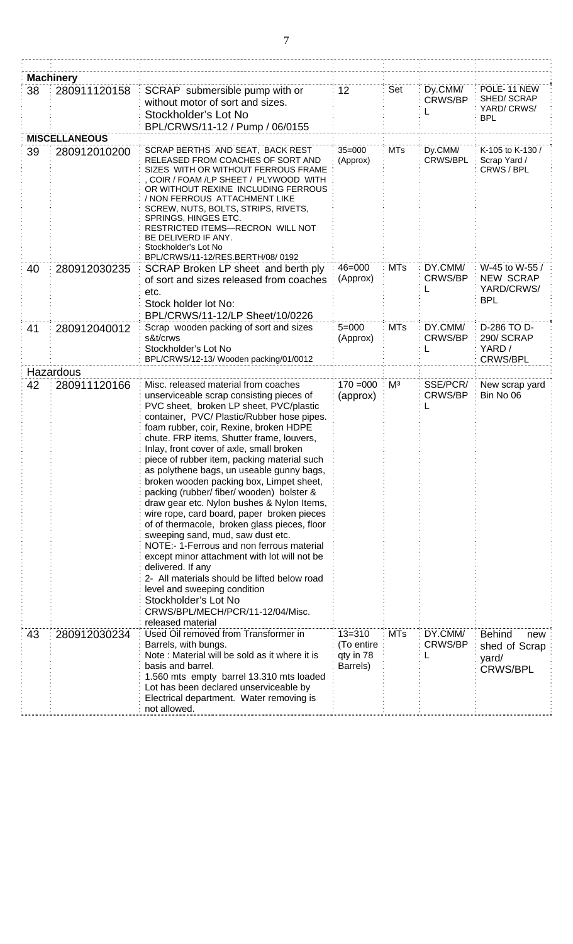|    | <b>Machinery</b>     |                                                                                                                                                                                                                                                                                                                                                                                                                                                                                                                                                                                                                                                                                                                                                                                                                                                                                                                                                                       |                                                   |                |                                |                                                                   |
|----|----------------------|-----------------------------------------------------------------------------------------------------------------------------------------------------------------------------------------------------------------------------------------------------------------------------------------------------------------------------------------------------------------------------------------------------------------------------------------------------------------------------------------------------------------------------------------------------------------------------------------------------------------------------------------------------------------------------------------------------------------------------------------------------------------------------------------------------------------------------------------------------------------------------------------------------------------------------------------------------------------------|---------------------------------------------------|----------------|--------------------------------|-------------------------------------------------------------------|
| 38 | 280911120158         | SCRAP submersible pump with or<br>without motor of sort and sizes.<br>Stockholder's Lot No<br>BPL/CRWS/11-12 / Pump / 06/0155                                                                                                                                                                                                                                                                                                                                                                                                                                                                                                                                                                                                                                                                                                                                                                                                                                         | 12                                                | Set            | Dy.CMM/<br>CRWS/BP             | POLE-11 NEW<br>SHED/SCRAP<br>YARD/ CRWS/<br><b>BPL</b>            |
|    | <b>MISCELLANEOUS</b> |                                                                                                                                                                                                                                                                                                                                                                                                                                                                                                                                                                                                                                                                                                                                                                                                                                                                                                                                                                       |                                                   |                |                                |                                                                   |
| 39 | 280912010200         | SCRAP BERTHS AND SEAT, BACK REST<br>RELEASED FROM COACHES OF SORT AND<br>SIZES WITH OR WITHOUT FERROUS FRAME<br>COIR / FOAM /LP SHEET / PLYWOOD WITH<br>OR WITHOUT REXINE INCLUDING FERROUS<br>/ NON FERROUS ATTACHMENT LIKE<br>SCREW, NUTS, BOLTS, STRIPS, RIVETS,<br>SPRINGS, HINGES ETC.<br>RESTRICTED ITEMS-RECRON WILL NOT<br>BE DELIVERD IF ANY.<br>Stockholder's Lot No<br>BPL/CRWS/11-12/RES.BERTH/08/0192                                                                                                                                                                                                                                                                                                                                                                                                                                                                                                                                                    | $35 = 000$<br>(Approx)                            | <b>MTs</b>     | Dy.CMM/<br>CRWS/BPL            | K-105 to K-130 /<br>Scrap Yard /<br>CRWS / BPL                    |
| 40 | 280912030235         | $46 = 000$<br>SCRAP Broken LP sheet and berth ply<br>(Approx)<br>of sort and sizes released from coaches<br>etc.<br>Stock holder lot No:<br>BPL/CRWS/11-12/LP Sheet/10/0226                                                                                                                                                                                                                                                                                                                                                                                                                                                                                                                                                                                                                                                                                                                                                                                           |                                                   | <b>MTs</b>     | DY.CMM/<br><b>CRWS/BP</b>      | W-45 to W-55 /<br><b>NEW SCRAP</b><br>YARD/CRWS/<br><b>BPL</b>    |
| 41 | 280912040012         | Scrap wooden packing of sort and sizes<br>s&t/crws<br>Stockholder's Lot No<br>BPL/CRWS/12-13/ Wooden packing/01/0012                                                                                                                                                                                                                                                                                                                                                                                                                                                                                                                                                                                                                                                                                                                                                                                                                                                  | $5 = 000$<br>(Approx)                             | <b>MTs</b>     | DY.CMM/<br><b>CRWS/BP</b><br>L | D-286 TO D-<br>290/SCRAP<br>YARD/<br>CRWS/BPL                     |
|    | Hazardous            |                                                                                                                                                                                                                                                                                                                                                                                                                                                                                                                                                                                                                                                                                                                                                                                                                                                                                                                                                                       |                                                   |                |                                |                                                                   |
| 42 | 280911120166         | Misc. released material from coaches<br>unserviceable scrap consisting pieces of<br>PVC sheet, broken LP sheet, PVC/plastic<br>container, PVC/ Plastic/Rubber hose pipes.<br>foam rubber, coir, Rexine, broken HDPE<br>chute. FRP items, Shutter frame, louvers,<br>Inlay, front cover of axle, small broken<br>piece of rubber item, packing material such<br>as polythene bags, un useable gunny bags,<br>broken wooden packing box, Limpet sheet,<br>packing (rubber/ fiber/ wooden) bolster &<br>draw gear etc. Nylon bushes & Nylon Items,<br>wire rope, card board, paper broken pieces<br>of of thermacole, broken glass pieces, floor<br>sweeping sand, mud, saw dust etc.<br>NOTE:- 1-Ferrous and non ferrous material<br>except minor attachment with lot will not be<br>delivered. If any<br>2- All materials should be lifted below road<br>level and sweeping condition<br>Stockholder's Lot No<br>CRWS/BPL/MECH/PCR/11-12/04/Misc.<br>released material | $170 = 000$<br>(approx)                           | M <sup>3</sup> | SSE/PCR/<br><b>CRWS/BP</b>     | New scrap yard<br>Bin No 06                                       |
| 43 | 280912030234         | Used Oil removed from Transformer in<br>Barrels, with bungs.<br>Note: Material will be sold as it where it is<br>basis and barrel.<br>1.560 mts empty barrel 13.310 mts loaded<br>Lot has been declared unserviceable by<br>Electrical department. Water removing is<br>not allowed.                                                                                                                                                                                                                                                                                                                                                                                                                                                                                                                                                                                                                                                                                  | $13 = 310$<br>(To entire<br>qty in 78<br>Barrels) | <b>MTs</b>     | DY.CMM/<br>CRWS/BP             | <b>Behind</b><br>new<br>shed of Scrap<br>yard/<br><b>CRWS/BPL</b> |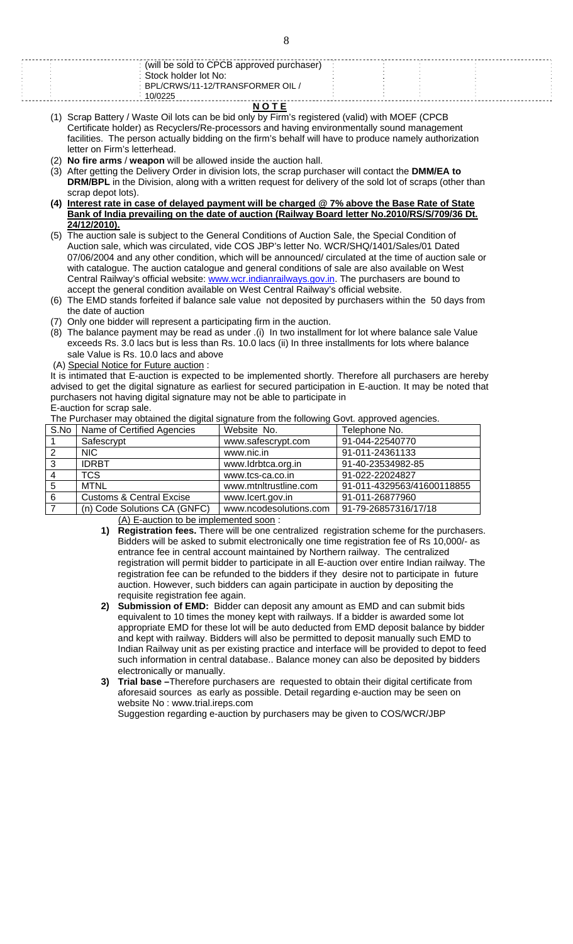| 10/0225                                   |  |  |  |
|-------------------------------------------|--|--|--|
|                                           |  |  |  |
| BPL/CRWS/11-12/TRANSFORMER OIL /          |  |  |  |
| Stock holder lot No:                      |  |  |  |
|                                           |  |  |  |
| (will be sold to CPCB approved purchaser) |  |  |  |
|                                           |  |  |  |

**N O T E**

(1) Scrap Battery / Waste Oil lots can be bid only by Firm's registered (valid) with MOEF (CPCB Certificate holder) as Recyclers/Re-processors and having environmentally sound management facilities. The person actually bidding on the firm's behalf will have to produce namely authorization letter on Firm's letterhead.

- (2) **No fire arms** / **weapon** will be allowed inside the auction hall.
- (3) After getting the Delivery Order in division lots, the scrap purchaser will contact the **DMM/EA to DRM/BPL** in the Division, along with a written request for delivery of the sold lot of scraps (other than scrap depot lots).
- **(4) Interest rate in case of delayed payment will be charged @ 7% above the Base Rate of State Bank of India prevailing on the date of auction (Railway Board letter No.2010/RS/S/709/36 Dt. 24/12/2010).**
- (5) The auction sale is subject to the General Conditions of Auction Sale, the Special Condition of Auction sale, which was circulated, vide COS JBP's letter No. WCR/SHQ/1401/Sales/01 Dated 07/06/2004 and any other condition, which will be announced/ circulated at the time of auction sale or with catalogue. The auction catalogue and general conditions of sale are also available on West Central Railway's official website: www.wcr.indianrailways.gov.in. The purchasers are bound to accept the general condition available on West Central Railway's official website.
- (6) The EMD stands forfeited if balance sale value not deposited by purchasers within the 50 days from the date of auction
- (7) Only one bidder will represent a participating firm in the auction.
- (8) The balance payment may be read as under .(i) In two installment for lot where balance sale Value exceeds Rs. 3.0 lacs but is less than Rs. 10.0 lacs (ii) In three installments for lots where balance sale Value is Rs. 10.0 lacs and above
- (A) Special Notice for Future auction :

It is intimated that E-auction is expected to be implemented shortly. Therefore all purchasers are hereby advised to get the digital signature as earliest for secured participation in E-auction. It may be noted that purchasers not having digital signature may not be able to participate in E-auction for scrap sale.

The Purchaser may obtained the digital signature from the following Govt. approved agencies.

| S.No | Name of Certified Agencies          | Website No.            | Telephone No.              |  |  |  |
|------|-------------------------------------|------------------------|----------------------------|--|--|--|
|      | Safescrypt                          | www.safescrypt.com     | 91-044-22540770            |  |  |  |
| 2    | NIC.                                | www.nic.in             | 91-011-24361133            |  |  |  |
| 3    | <b>IDRBT</b>                        | www.ldrbtca.org.in     | 91-40-23534982-85          |  |  |  |
|      | <b>TCS</b>                          | www.tcs-ca.co.in       | 91-022-22024827            |  |  |  |
| 5    | <b>MTNL</b>                         | www.mtnltrustline.com  | 91-011-4329563/41600118855 |  |  |  |
| 6    | <b>Customs &amp; Central Excise</b> | www.lcert.gov.in       | 91-011-26877960            |  |  |  |
|      | (n) Code Solutions CA (GNFC)        | www.ncodesolutions.com | 91-79-26857316/17/18       |  |  |  |

(A) E-auction to be implemented soon :

- **1) Registration fees.** There will be one centralized registration scheme for the purchasers. Bidders will be asked to submit electronically one time registration fee of Rs 10,000/- as entrance fee in central account maintained by Northern railway. The centralized registration will permit bidder to participate in all E-auction over entire Indian railway. The registration fee can be refunded to the bidders if they desire not to participate in future auction. However, such bidders can again participate in auction by depositing the requisite registration fee again.
- **2) Submission of EMD:** Bidder can deposit any amount as EMD and can submit bids equivalent to 10 times the money kept with railways. If a bidder is awarded some lot appropriate EMD for these lot will be auto deducted from EMD deposit balance by bidder and kept with railway. Bidders will also be permitted to deposit manually such EMD to Indian Railway unit as per existing practice and interface will be provided to depot to feed such information in central database.. Balance money can also be deposited by bidders electronically or manually.
- **3) Trial base –**Therefore purchasers are requested to obtain their digital certificate from aforesaid sources as early as possible. Detail regarding e-auction may be seen on website No : www.trial.ireps.com

Suggestion regarding e-auction by purchasers may be given to COS/WCR/JBP